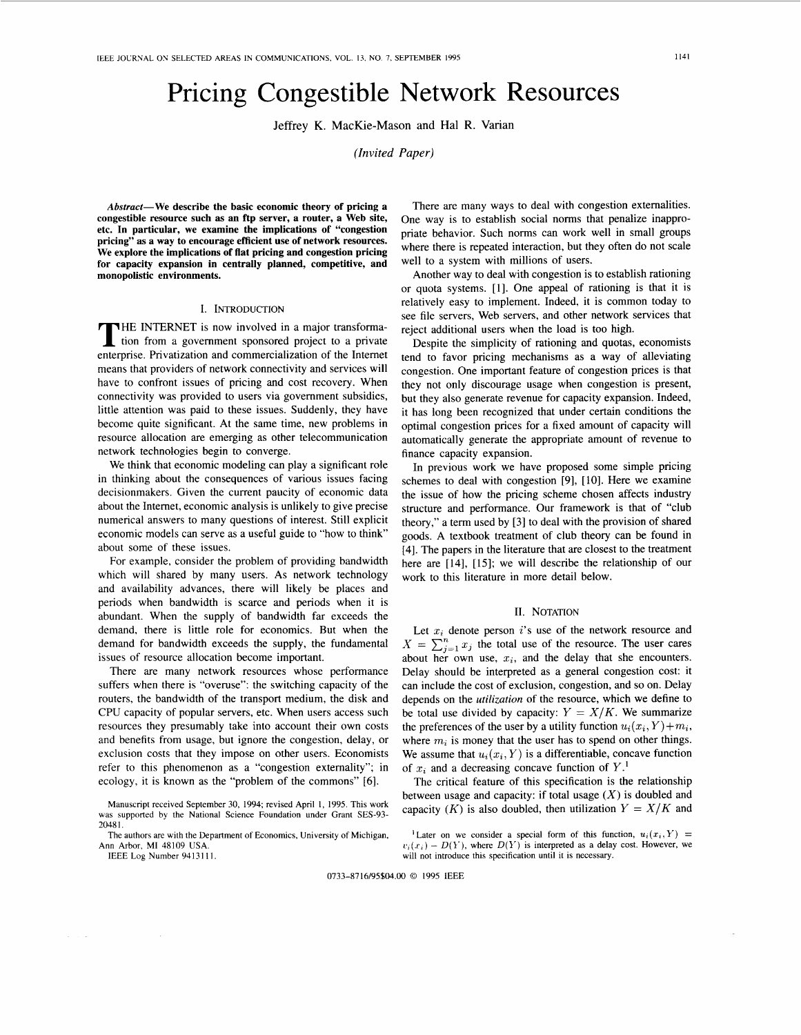# <span id="page-0-0"></span>Pricing Congestible Network Resources

Jeffrey **K.** MacKie-Mason and Hal **R.** Varian

*(Invited Paper)* 

*Abstract-* **We describe the basic economic theory of pricing a congestible resource such as an ftp server, a router, a Web site, etc. In particular, we examine the implications of "congestion pricing" as a way to encourage efficient use of network resources. We explore the implications of flat pricing and congestion pricing for capacity expansion in centrally planned, competitive, and monopolistic environments.** 

## I. INTRODUCTION

**THE INTERNET** is now involved in a major transformation from a government sponsored project to a private enterprise. Privatization and commercialization of the Internet means that providers of network connectivity and services will have to confront issues of pricing and cost recovery. When connectivity was provided to users via government subsidies, little attention was paid to these issues. Suddenly, they have become quite significant. At the same time, new problems in resource allocation are emerging as other telecommunication network technologies begin to converge.

We think that economic modeling can play a significant role in thinking about the consequences of various issues facing decisionmakers. Given the current paucity of economic data about the Internet, economic analysis is unlikely to give precise numerical answers to many questions of interest. Still explicit economic models can serve as a useful guide to "how to think' about some of these issues.

For example, consider the problem of providing bandwidth which will shared by many users. As network technology and availability advances, there will likely be places and periods when bandwidth is scarce and periods when it is abundant. When the supply of bandwidth far exceeds the demand, there is little role for economics. But when the demand for bandwidth exceeds the supply, the fundamental issues of resource allocation become important.

There are many network resources whose performance suffers when there is "overuse": the switching capacity of the routers, the bandwidth of the transport medium, the disk and CPU capacity of popular servers, etc. When users access such resources they presumably take into account their own costs and benefits from usage, but ignore the congestion, delay, or exclusion costs that they impose on other users. Economists refer to this phenomenon as a "congestion externality"; in ecology, it is known as the "problem of the commons" [6].

 $\Delta\phi$  ,  $\Delta\phi$  ,  $\Delta\phi$ 

There are many ways to deal with congestion externalities. One way is to establish social norms that penalize inappropriate behavior. Such norms can work well in small groups where there is repeated interaction, but they often do not scale well to a system with millions of users.

Another way to deal with congestion is to establish rationing or quota systems. [l]. One appeal of rationing is that it is relatively easy to implement. Indeed, it is common today to see file servers, Web servers, and other network services that reject additional users when the load is too high.

Despite the simplicity of rationing and quotas, economists tend to favor pricing mechanisms as a way of alleviating congestion. One important feature of congestion prices is that they not only discourage usage when congestion is present, but they also generate revenue for capacity expansion. Indeed, it has long been recognized that under certain conditions the optimal congestion prices for a fixed amount of capacity will automatically generate the appropriate amount of revenue to finance capacity expansion.

In previous work we have proposed some simple pricing schemes to deal with congestion [9], [10]. Here we examine the issue of how the pricing scheme chosen affects industry structure and performance. Our framework is that of "club theory," a term used by [3] to deal with the provision of shared goods. A textbook treatment of club theory can be found in [4]. The papers in the literature that are closest to the treatment here are [14], [15]; we will describe the relationship of our work to this literature in more detail below.

#### **11.** NOTATION

Let  $x_i$  denote person  $i$ 's use of the network resource and  $X = \sum_{j=1}^{n} x_j$  the total use of the resource. The user cares about her own use,  $x_i$ , and the delay that she encounters. Delay should be interpreted as a general congestion cost: it can include the cost of exclusion, congestion, and so on. Delay depends on the *utilization* of the resource, which we define to be total use divided by capacity:  $Y = X/K$ . We summarize the preferences of the user by a utility function  $u_i(x_i, Y) + m_i$ , where  $m_i$  is money that the user has to spend on other things. We assume that  $u_i(x_i, Y)$  is a differentiable, concave function of  $x_i$  and a decreasing concave function of  $Y<sup>1</sup>$ 

The critical feature of this specification is the relationship between usage and capacity: if total usage  $(X)$  is doubled and capacity *(K)* is also doubled, then utilization  $Y = X/K$  and

0733-8716/95\$04.00 *0* 1995 **IEEE** 

Manuscript received September 30, 1994; revised April 1, 1995. This work was supported by the National Science Foundation under Grant SES-93- 20481

The authors are with the Department of Economics, University of Michigan, Ann Arbor, MI 48109 USA.

IEEE Log Number 94 13 1 **1 1.** 

<sup>&</sup>lt;sup>1</sup> Later on we consider a special form of this function,  $u_i(x_i, Y)$  =  $v_i(x_i) - D(Y)$ , where  $D(Y)$  is interpreted as a delay cost. However, we will not introduce this specification until it **is** necessary.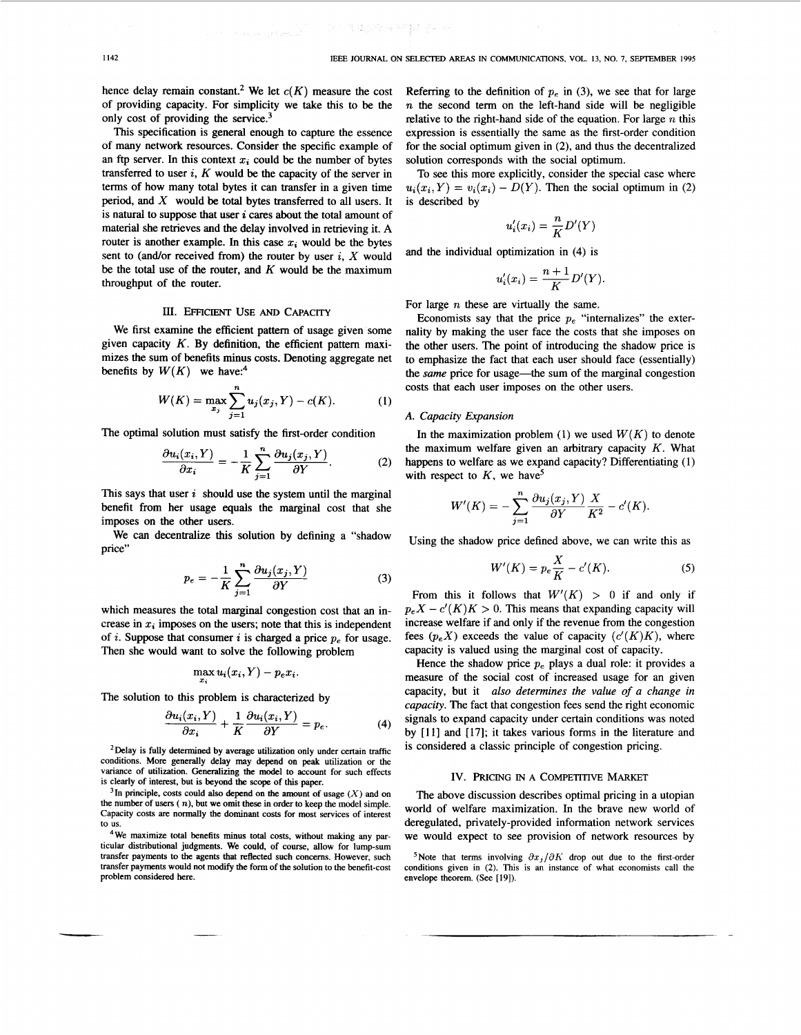医血管 建长管 网络野花 不

hence delay remain constant.<sup>2</sup> We let  $c(K)$  measure the cost of providing capacity. For simplicity we take **this** to be the only cost of providing the service. $3$ 

This specification is general enough to capture the essence of many network resources. Consider the specific example of an ftp server. In this context  $x_i$  could be the number of bytes transferred to user *i,* K would be the capacity of the server in terms of how many total bytes it can transfer in a given time period, and *X* would be total bytes transferred to all users. It is natural to suppose that user *i* cares about the total amount of material she retrieves and the delay involved in retrieving it. A router is another example. In this case  $x_i$  would be the bytes sent to (and/or received from) the router by user  $i$ ,  $X$  would be the total use of the router, and  $K$  would be the maximum throughput of the router.

## **111. EFFICIENT** USE AND CAPACITY

We first examine the efficient pattern of usage given some given capacity K. **By** definition, the efficient pattern maximizes the sum of benefits minus costs. Denoting aggregate net benefits by  $W(K)$  we have:<sup>4</sup>

$$
W(K) = \max_{x_j} \sum_{j=1}^{n} u_j(x_j, Y) - c(K). \tag{1}
$$

The optimal solution must satisfy the first-order condition

$$
\frac{\partial u_i(x_i, Y)}{\partial x_i} = -\frac{1}{K} \sum_{j=1}^n \frac{\partial u_j(x_j, Y)}{\partial Y}.
$$
 (2)

This says that user *i* should use the system until the marginal benefit from her usage equals the marginal cost that she imposes on the other users.

We can decentralize this solution by defining a "shadow price"

$$
p_e = -\frac{1}{K} \sum_{j=1}^{n} \frac{\partial u_j(x_j, Y)}{\partial Y}
$$
 (3)

which measures the total marginal congestion cost that an increase in  $x_i$  imposes on the users; note that this is independent of *i*. Suppose that consumer *i* is charged a price  $p_e$  for usage. Then she would want to solve the following problem

$$
\max u_i(x_i, Y) - p_e x_i.
$$

 $\mathbf{v}_1$ 

The solution to this problem is characterized by  
\n
$$
\frac{\partial u_i(x_i, Y)}{\partial x_i} + \frac{1}{K} \frac{\partial u_i(x_i, Y)}{\partial Y} = p_e.
$$
\n(4)

<sup>2</sup> Delay is fully determined by average utilization only under certain traffic **conditions. More generally delay may depend on peak utilization or the variance of utilization. Generalizing the model to account for such effects is clearly of interest, but is beyond** the **scope of this paper.** 

**In principle, costs could also depend on the amount of usage** *(X)* **and on the number of users** ( *n).* **but we omit these in order to keep the model simple. Capacity costs** *are* **normally the dominant costs for most services of interest to us.** 

**4We maximize total benefits minus total costs, without making any particular distributional judgments. We could, of course, allow for lump-sum transfer payments to the agents that reflected such concerns. However, such transfer payments would not modify the form of the solution to the benefit-cost problem considered here.** 

Referring to the definition of  $p_e$  in (3), we see that for large  $n$  the second term on the left-hand side will be negligible relative to the right-hand side of the equation. For large  $n$  this expression is essentially the same as the first-order condition for the social optimum given in **(2),** and thus the decentralized solution corresponds with the social optimum.

To see this more explicitly, consider the special case where  $u_i(x_i, Y) = v_i(x_i) - D(Y)$ . Then the social optimum in (2) is described by

$$
u_i'(x_i) = \frac{n}{K} D'(Y)
$$

and the individual optimization in (4) is

$$
u_i'(x_i) = \frac{n+1}{K}D'(Y).
$$

For large  $n$  these are virtually the same.

Economists say that the price  $p_e$  "internalizes" the externality by making the user face the costs that she imposes on the other users. The point of introducing the shadow price is to emphasize the fact that each user should face (essentially) the *same* price for usage—the sum of the marginal congestion costs that each user imposes on the other users.

## *A. Capacity Expansion*

In the maximization problem  $(1)$  we used  $W(K)$  to denote the maximum welfare given an arbitrary capacity  $K$ . What happens to welfare as we expand capacity? Differentiating (1) with respect to  $K$ , we have<sup>5</sup>

$$
W'(K) = -\sum_{j=1}^{n} \frac{\partial u_j(x_j, Y)}{\partial Y} \frac{X}{K^2} - c'(K).
$$

Using the shadow price defined above, we can write this as

$$
W'(K) = p_e \frac{X}{K} - c'(K). \tag{5}
$$

From this it follows that  $W'(K) > 0$  if and only if  $p_e X - c'(K) K > 0$ . This means that expanding capacity will increase welfare if and only if the revenue from the congestion fees  $(p_e X)$  exceeds the value of capacity  $(c'(K)K)$ , where capacity is valued using the marginal cost of capacity.

Hence the shadow price *p,* plays a dual role: it provides a measure of the social cost of increased usage for an given capacity, but it *also determines the value of a change in capacity.* The fact that congestion fees send the right economic signals to expand capacity under certain conditions was noted by [11] and [17]; it takes various forms in the literature and is considered a classic principle of congestion pricing.

## Iv. PRICING IN A COMPETITIVE MARKET

The above discussion describes optimal pricing in a utopian world of welfare maximization. In the brave new world of deregulated, privately-provided information network services we would expect to see provision of network resources by

<sup>5</sup> Note that terms involving  $\partial x_j/\partial K$  drop out due to the first-order **conditions given in (2). This is an instance of what economists call the envelope theorem.** *(See* **[19]).**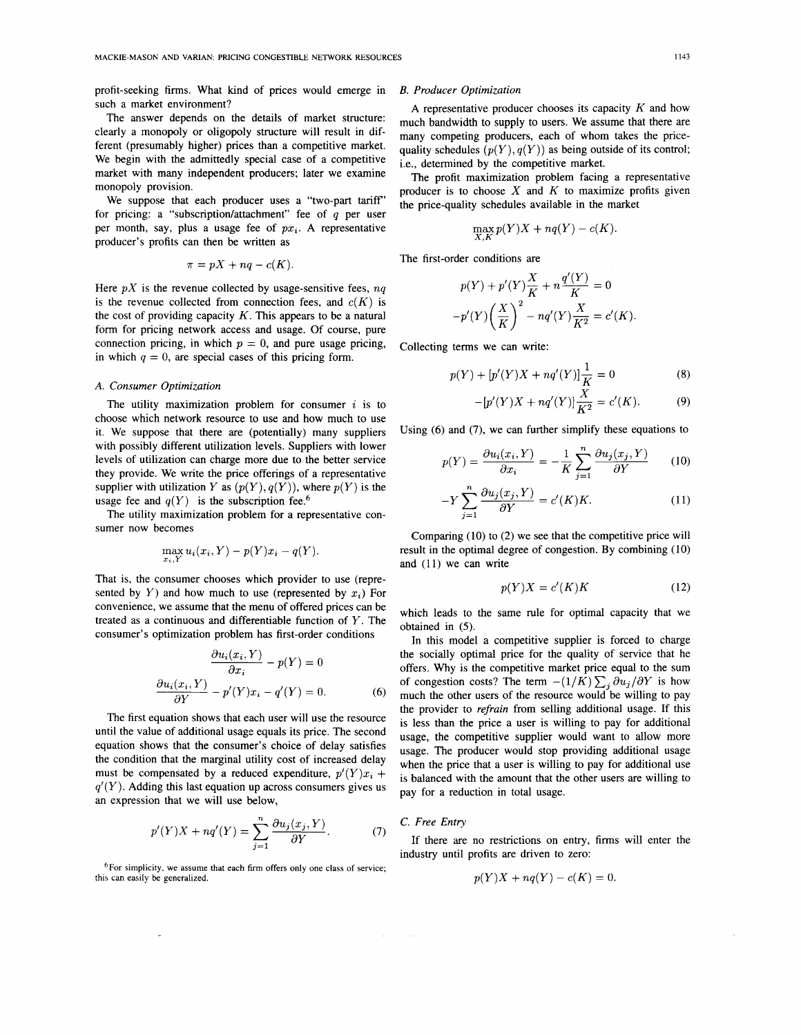profit-seeking firms. What kind of prices would emerge in such a market environment?

The answer depends on the details of market structure: clearly a monopoly or oligopoly structure will result in different (presumably higher) prices than a competitive market. We begin with the admittedly special case of a competitive market with many independent producers; later we examine monopoly provision.

We suppose that each producer uses a "two-part tariff" for pricing: a "subscription/attachment" fee of *q* per user per month, say, plus a usage fee of  $px_i$ . A representative producer's profits can then be written as

$$
\pi = pX + nq - c(K).
$$

Here  $pX$  is the revenue collected by usage-sensitive fees,  $nq$ is the revenue collected from connection fees, and  $c(K)$  is the cost of providing capacity  $K$ . This appears to be a natural form for pricing network access and usage. Of course, pure connection pricing, in which  $p = 0$ , and pure usage pricing, in which  $q = 0$ , are special cases of this pricing form.

## *A. Consumer Optimization*

The utility maximization problem for consumer *i* is to choose which network resource to use and how much to use it. We suppose that there are (potentially) many suppliers with possibly different utilization levels. Suppliers with lower levels of utilization can charge more due to the better service they provide. We write the price offerings of a representative supplier with utilization *Y* as  $(p(Y), q(Y))$ , where  $p(Y)$  is the usage fee and  $q(Y)$  is the subscription fee.<sup>6</sup>

The utility maximization problem for a representative consumer now becomes

$$
\max_{x_i, Y} u_i(x_i, Y) - p(Y)x_i - q(Y).
$$

That is, the consumer chooses which provider to use (represented by *Y*) and how much to use (represented by  $x_i$ ) For convenience, we assume that the menu of offered prices can be treated as a continuous and differentiable function of *Y.* The consumer's optimization problem has first-order conditions

$$
\frac{\partial u_i(x_i, Y)}{\partial x_i} - p(Y) = 0
$$

$$
\frac{\partial u_i(x_i, Y)}{\partial Y} - p'(Y)x_i - q'(Y) = 0.
$$
(6)

The first equation shows that each user will use the resource until the value of additional usage equals its price. The second equation shows that the consumer's choice of delay satisfies the condition that the marginal utility cost of increased delay must be compensated by a reduced expenditure,  $p'(Y)x_i +$  $q'(Y)$ . Adding this last equation up across consumers gives us an expression that we will use below,

$$
p'(Y)X + nq'(Y) = \sum_{j=1}^{n} \frac{\partial u_j(x_j, Y)}{\partial Y}.
$$
 (7)

<sup>6</sup>For simplicity, we assume that each firm offers only one class of service;  $p(Y)X + nq(Y) - c(K) = 0$ .

#### *B. Producer Optimization*

A representative producer chooses its capacity *K* and how much bandwidth to supply to users. We assume that there are many competing producers, each of whom takes the pricequality schedules  $(p(Y), q(Y))$  as being outside of its control; i.e., determined by the competitive market.

The profit maximization problem facing a representative producer is to choose *X* and *K* to maximize profits given the price-quality schedules available in the market

$$
\max_{X,K} p(Y)X + nq(Y) - c(K).
$$

The first-order conditions are

$$
p(Y) + p'(Y)\frac{X}{K} + n\frac{q'(Y)}{K} = 0
$$
  
-p'(Y)\left(\frac{X}{K}\right)^2 - nq'(Y)\frac{X}{K^2} = c'(K).

Collecting terms we can write:

$$
p(Y) + [p'(Y)X + nq'(Y)]\frac{1}{K} = 0
$$
 (8)

$$
-[p'(Y)X + nq'(Y)]\frac{X}{K^2} = c'(K).
$$
 (9)

Using *(6)* and (7), we can further simplify these equations to

$$
p(Y) = \frac{\partial u_i(x_i, Y)}{\partial x_i} = -\frac{1}{K} \sum_{j=1}^n \frac{\partial u_j(x_j, Y)}{\partial Y} \qquad (10)
$$

$$
-Y\sum_{j=1}^{n} \frac{\partial u_j(x_j, Y)}{\partial Y} = c'(K)K.
$$
 (11)

Comparing **(10)** to (2) we see that the competitive price will result in the optimal degree of congestion. By combining (10) and  $(11)$  we can write

$$
p(Y)X = c'(K)K\tag{12}
$$

which leads to the same rule for optimal capacity that we obtained in (5).

In this model a competitive supplier is forced to charge the socially optimal price for the quality of service that he offers. Why is the competitive market price equal to the sum of congestion costs? The term  $-(1/K)\sum_i \partial u_i/\partial Y$  is how much the other users of the resource would be willing to pay the provider to *refrain* from selling additional usage. If this is less than the price a user is willing to pay for additional usage, the competitive supplier would want to allow more usage. The producer would stop providing additional usage when the price that a user is willing to pay for additional use is balanced with the amount that the other users are willing to pay for a reduction in total usage.

# *auj(xj,Y) C. Free Entry*

If there are no restrictions on entry, firms will enter the industry until profits are driven to zero:

$$
p(Y)X + nq(Y) - c(K) = 0
$$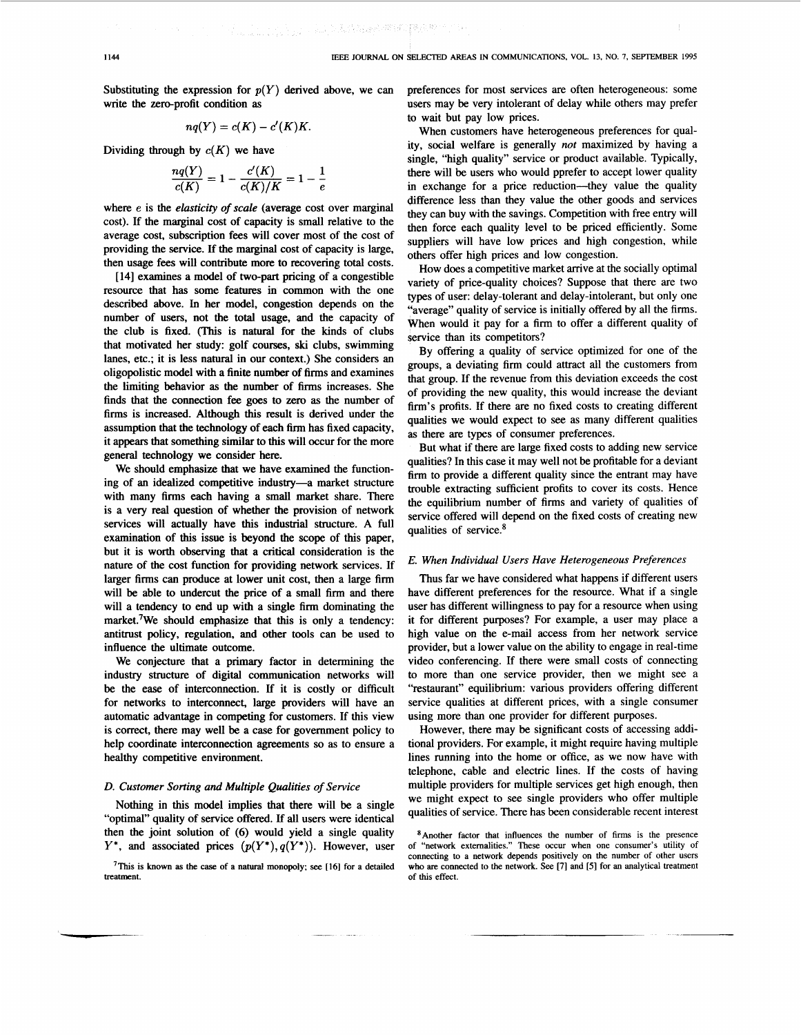Substituting the expression for  $p(Y)$  derived above, we can write the zero-profit condition **as** 

(1) 17, 2000 11, 2000 2000 2000 2000 2000

$$
nq(Y) = c(K) - c'(K)K.
$$

Dividing through by *c(K)* we have

$$
\frac{nq(Y)}{c(K)}=1-\frac{c'(K)}{c(K)/K}=1-\frac{1}{\epsilon}
$$

where e is the *elasticity of scale* (average cost over marginal cost). If the marginal cost of capacity is small relative to the average cost, subscription fees will cover most of the cost of providing the service. If the marginal cost of capacity is large, then usage fees will contribute more to recovering total costs.

[ **141** examines a model of two-part pricing of a congestible resource that has some features in common with the one described above. In her model, congestion depends on the number of users, not the total usage, and the capacity of the club is fixed. (This is natural for the kinds of clubs that motivated her study: golf courses, ski clubs, swimming lanes, etc.; it is less natural in our context.) She considers an oligopolistic model with a finite number of firms and examines the limiting behavior **as** the number of firms increases. She finds that the connection fee **goes** to zero **as** the number of firms is increased. Although this result is derived under the assumption that the technology of each firm has fixed capacity, it appears that something **similar** to this will occur for the more general technology we consider here.

We should emphasize that we have examined the functioning of an idealized competitive industry-a market structure with many firms each having a small market share. There is a very real question of whether the provision of network services will actually have this industrial structure. A full examination of this issue is beyond the scope of this paper, but it is **worth** observing that a critical consideration is the nature of the cost function for providing network services. If larger firms can produce at lower unit cost, then a large firm will be able to undercut the price of a small firm and there will a tendency to end up with a single firm dominating the market. We should emphasize that this is only a tendency: antitrust policy, regulation, and other tools can be used to influence the ultimate outcome.

We conjecture that a primary factor in determining the industry structure of digital communication networks will be the ease of interconnection. If it is costly or difficult for networks to interconnect, large providers will have an automatic advantage in competing for customers. If this view is correct, there may well be a case for government policy to help coordinate interconnection agreements so **as** to ensure a healthy competitive environment.

## *D. Customer Sorting and Multiple Qualities of Service*

Nothing in this model implies that there will be a single "optimal" quality of service offered. If all users were identical then the joint solution of (6) would yield a single quality  $Y^*$ , and associated prices  $(p(Y^*), q(Y^*))$ . However, user

**'This is known as the** *case* **of a natural monopoly;** *see* **[16] for a detailed treatment.** 

preferences for most services are often heterogeneous: some **users** may be very intolerant of delay while others may prefer **to** wait but pay low prices.

When customers have heterogeneous preferences for quality, social welfare is generally not maximized by having a single, "high quality" service or product available. Typically, there will be users who would pprefer to accept lower quality in exchange for a price reduction—they value the quality difference less than they value the other goods and services they can buy with the savings. Competition with free entry will then force each quality level to be priced efficiently. Some suppliers will have low prices and high congestion, while others offer high prices and low congestion.

How does a competitive market arrive at the socially optimal variety of price-quality choices? Suppose that there are two types of user: delay-tolerant and delay-intolerant, but only one "average" quality of service is initially offered by all the firms. When would it pay for a firm to offer a different quality of service than its competitors?

By offering a quality of service optimized for one of the groups, a deviating firm could attract all the customers from that group. If the revenue from this deviation exceeds the cost of providing the new quality, this would increase the deviant firm's profits. If there are no fixed costs to creating different qualities we would expect to see as many different qualities **as** there are types of consumer preferences.

But what if there are large fixed costs to adding new service qualities? In this case it may well not be profitable for a deviant firm to provide a different quality since the entrant may have trouble extracting sufficient profits to cover its costs. Hence the equilibrium number of firms and variety of qualities of service offered will depend on the fixed costs of creating new qualities of service.<sup>8</sup>

# *E. When Individual Users Have Heterogeneous Preferences*

Thus far we have considered what happens if different users have different preferences for the resource. What if a single user has different willingness to pay for a resource when using it for different purposes? For example, a user may place a high value on the e-mail access from her network service provider, but a lower value on the ability to engage in real-time video conferencing. If there were small costs of connecting to more than one service provider, then we might see a "restaurant" equilibrium: various providers offering different service qualities at different prices, with a single consumer using more than one provider for different purposes.

However, there may be significant costs of accessing additional providers. For example, it might require having multiple lines running into the home or office, as we now have with telephone, cable and electric lines. If the costs of having multiple providers for multiple services get high enough, then we might expect to see single providers who offer multiple qualities of service. There has been considerable recent interest

**<sup>&#</sup>x27;Another factor that influences the number of** firms **is the presence of "network externalities." These occur when one consumer's utility of connecting to a network depends positively on the number of other users who are connected to the network. See [7] and [5] for an analytical treatment of this effect.**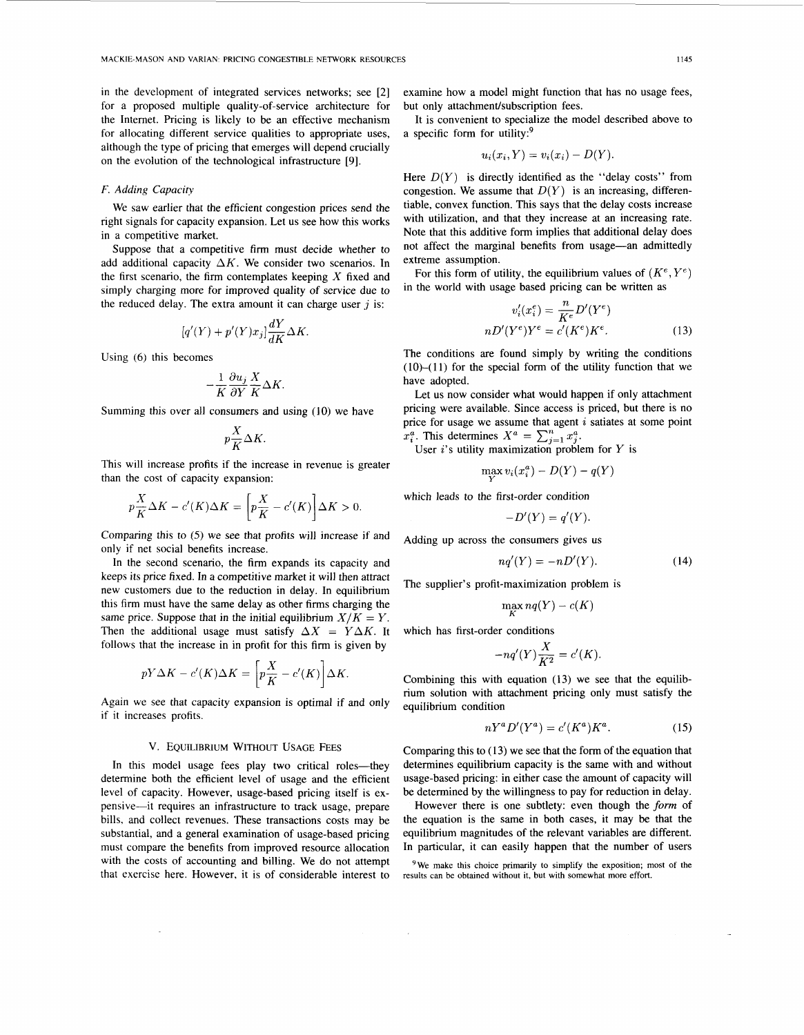in the development of integrated services networks; see [2] for a proposed multiple quality-of-service architecture for the Internet. Pricing is likely to be an effective mechanism for allocating different service qualities to appropriate uses, although the type of pricing that emerges will depend crucially on the evolution of the technological infrastructure [9].

## *F. Adding Capacity*

We saw earlier that the efficient congestion prices send the right signals for capacity expansion. Let us see how this works in a competitive market.

Suppose that a competitive firm must decide whether to add additional capacity  $\Delta K$ . We consider two scenarios. In the first scenario, the **firm** contemplates keeping *X* fixed and simply charging more for improved quality of service due to the reduced delay. The extra amount it can charge user  $j$  is:

$$
[q'(Y) + p'(Y)x_j] \frac{dY}{dK} \Delta K.
$$

Using (6) this becomes

$$
-\frac{1}{K}\frac{\partial u_j}{\partial Y}\frac{X}{K}\Delta K.
$$

Summing this over all consumers and using (10) we have

$$
p\frac{X}{K}\Delta K.
$$

This will increase profits if the increase in revenue is greater than the cost of capacity expansion:

$$
p\frac{X}{K}\Delta K-c'(K)\Delta K=\bigg[p\frac{X}{K}-c'(K)\bigg]\Delta K>0.
$$

Comparing this to *(5)* we see that profits will increase if and only if net social benefits increase.

In the second scenario, the firm expands its capacity and keeps its price fixed. In a competitive market it will then attract new customers due to the reduction in delay. In equilibrium this firm must have the same delay as other firms charging the same price. Suppose that in the initial equilibrium  $X/K = Y$ . Then the additional usage must satisfy  $\Delta X = Y \Delta K$ . It follows that the increase in in profit for this firm is given by

$$
pY\Delta K - c'(K)\Delta K = \left[p\frac{X}{K} - c'(K)\right]\Delta K.
$$

Again we see that capacity expansion is optimal if and only if it increases profits.

## **V. EQUILIBRIUM WITHOUT USAGE FEES**

In this model usage fees play two critical roles-they determine both the efficient level of usage and the efficient level of capacity. However, usage-based pricing itself is expensive-it requires an infrastructure to track usage, prepare bills, and collect revenues. These transactions costs may be substantial, and a general examination of usage-based pricing must compare the benefits from improved resource allocation with the costs of accounting and billing. We do not attempt that exercise here. However, it is of considerable interest to examine how a model might function that has no usage fees, but only attachment/subscription fees.

It is convenient to specialize the model described above to a specific form for utility: $9$ 

$$
u_i(x_i, Y) = v_i(x_i) - D(Y).
$$

Here  $D(Y)$  is directly identified as the "delay costs" from congestion. We assume that  $D(Y)$  is an increasing, differentiable, convex function. This says that the delay costs increase with utilization, and that they increase at an increasing rate. Note that this additive form implies that additional delay does not affect the marginal benefits from usage-an admittedly extreme assumption.

For this form of utility, the equilibrium values of  $(K^e, Y^e)$ in the world with usage based pricing can be written as

$$
v_i'(x_i^e) = \frac{n}{K^e} D'(Y^e)
$$

$$
n D'(Y^e) Y^e = c'(K^e) K^e.
$$
 (13)

The conditions are found simply by writing the conditions  $(10)$ - $(11)$  for the special form of the utility function that we have adopted.

Let us now consider what would happen if only attachment pricing were available. Since access is priced, but there is no price for usage we assume that agent *i* satiates at some point  $x_i^a$ . This determines  $X^a = \sum_{j=1}^n x_j^a$ .

User  $i$ 's utility maximization problem for  $Y$  is

$$
\max_{Y} v_i(x_i^a) - D(Y) - q(Y)
$$

which leads to the first-order condition

$$
-D'(Y) = q'(Y).
$$

Adding up across the consumers gives us

$$
nq'(Y) = -nD'(Y). \tag{14}
$$

The supplier's profit-maximization problem is

$$
\max_K nq(Y) - c(K)
$$

which has first-order conditions

$$
-nq'(Y)\frac{X}{K^2}=c'(K).
$$

Combining this with equation (13) we see that the equilibrium solution with attachment pricing only must satisfy the equilibrium condition

$$
nY^a D'(Y^a) = c'(K^a)K^a. \tag{15}
$$

Comparing this to (13) we see that the form of the equation that determines equilibrium capacity is the same with and without usage-based pricing: in either case the amount of capacity will be determined by the willingness to pay for reduction in delay.

However there is one subtlety: even though the *form* **of**  the equation is the same in both cases, it may be that the equilibrium magnitudes of the relevant variables are different. In particular, it can easily happen that the number of users

**9We make this choice primarily to simplify the exposition; most of the results can be obtained without it, but with somewhat more effort.**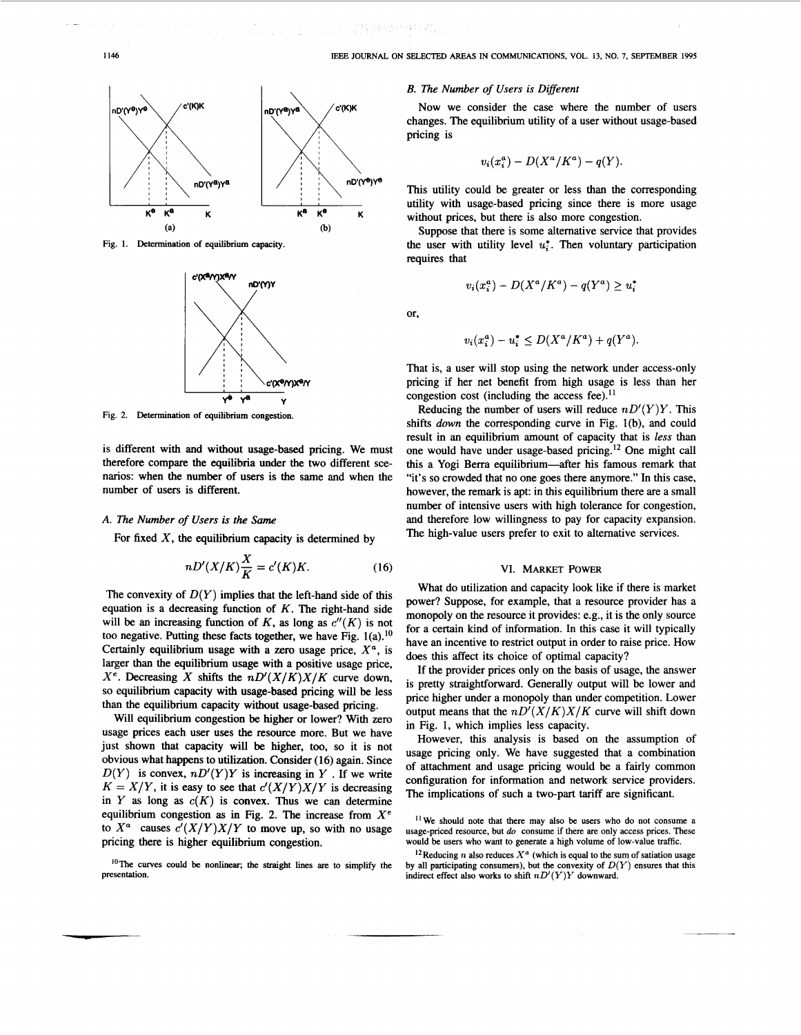

**Fig. 1. Determination of equilibrium capacity.** 



**Fig. 2. Determination of equilibrium congestion.** 

is different with and without usage-based pricing. We must therefore compare the equilibria under the two different scenarios: when the number of **users** is the same and when the number of users is different.

#### *A. The Number of Users is the Same*

For fixed  $X$ , the equilibrium capacity is determined by

$$
nD'(X/K)\frac{X}{K} = c'(K)K.
$$
 (16)

The convexity of  $D(Y)$  implies that the left-hand side of this equation is a decreasing function of  $K$ . The right-hand side will be an increasing function of  $K$ , as long as  $c''(K)$  is not too negative. Putting these facts together, we have Fig. 1(a).<sup>10</sup> Certainly equilibrium usage with a zero usage price,  $X^a$ , is larger than the equilibrium usage with a positive usage price,  $X^e$ . Decreasing X shifts the  $nD'(X/K)X/K$  curve down, *so* equilibrium capacity with usage-based pricing will be less than the equilibrium capacity without usage-based pricing.

Will equilibrium congestion be higher or lower? With zero usage prices each user uses the resource more. But we have just shown that capacity will be higher, too, so it is not obvious what happens to utilization. Consider **(16)** again. Since  $D(Y)$  is convex,  $nD'(Y)Y$  is increasing in Y. If we write  $K = X/Y$ , it is easy to see that  $c'(X/Y)X/Y$  is decreasing in Y as long as  $c(K)$  is convex. Thus we can determine equilibrium congestion as in Fig. 2. The increase from  $X^e$ to  $X^a$  causes  $c'(X/Y)X/Y$  to move up, so with no usage pricing there is higher equilibrium congestion.

**presentation.**  <sup>10</sup> The curves could be nonlinear; the straight lines are to simplify the

## *B. The Number of Users is Different*

Now we consider the case where the number of users changes. The equilibrium utility of a user without usage-based pricing is

$$
v_i(x_i^a) - D(X^a/K^a) - q(Y).
$$

This utility could be greater or less than the corresponding utility with usage-based pricing since there is more usage without prices, but there is also more congestion.

Suppose that there is some alternative service that provides the user with utility level  $u^*$ . Then voluntary participation requires that

or,

$$
v_i(x_i^a) - u_i^* \le D(X^a/K^a) + q(Y^a).
$$

 $v_i(x_i^a) - D(X^a/K^a) - q(Y^a) \ge u_i^*$ 

That is, a user will stop using the network under access-only pricing if her net benefit from high usage is less than her congestion cost (including the access fee). $<sup>11</sup>$ </sup>

Reducing the number of users will reduce  $nD'(Y)Y$ . This shifts *down* the corresponding curve in Fig. l(b), and could result in an equilibrium amount of capacity that is *less* than one would have under usage-based pricing.12 One might call this a Yogi Berra equilibrium-after his famous remark that "it's so crowded that no one goes there anymore." In this case, however, the remark is apt: in this equilibrium there are a small number of intensive users with high tolerance for congestion, and therefore low willingness to pay for capacity expansion. The high-value users prefer to exit to alternative services.

## VI. **MARKET POWER**

What do utilization and capacity look like if there is market power? Suppose, for example, that a resource provider has a monopoly on the resource it provides: e.g., it is the only source for a certain kind of information. In this case it will typically have an incentive to restrict output in order to raise price. How does this affect its choice of optimal capacity?

If the provider prices only on the basis of usage, the answer is pretty straightforward. Generally output will be lower and price higher under a monopoly than under competition. Lower output means that the  $nD'(X/K)X/K$  curve will shift down in Fig. 1, which implies less capacity.

However, this analysis is based on the assumption of usage pricing only. We have suggested that a combination of attachment and usage pricing would be a fairly common configuration for information and network service providers. The implications of such a two-part tariff are significant.

**<sup>&</sup>quot;We should note that there may also be users who do not consume a usage-priced resource, but** *do* **consume if there are only access prices. These would be users who want to generate a high volume of low-value traffic.** 

<sup>&</sup>lt;sup>12</sup> Reducing *n* also reduces  $X^a$  (which is equal to the sum of satiation usage **by all participating consumers), but the convexity of** *D(Y)* **ensures that this indirect effect also works to shift** *nD'(Y)Y* **downward.**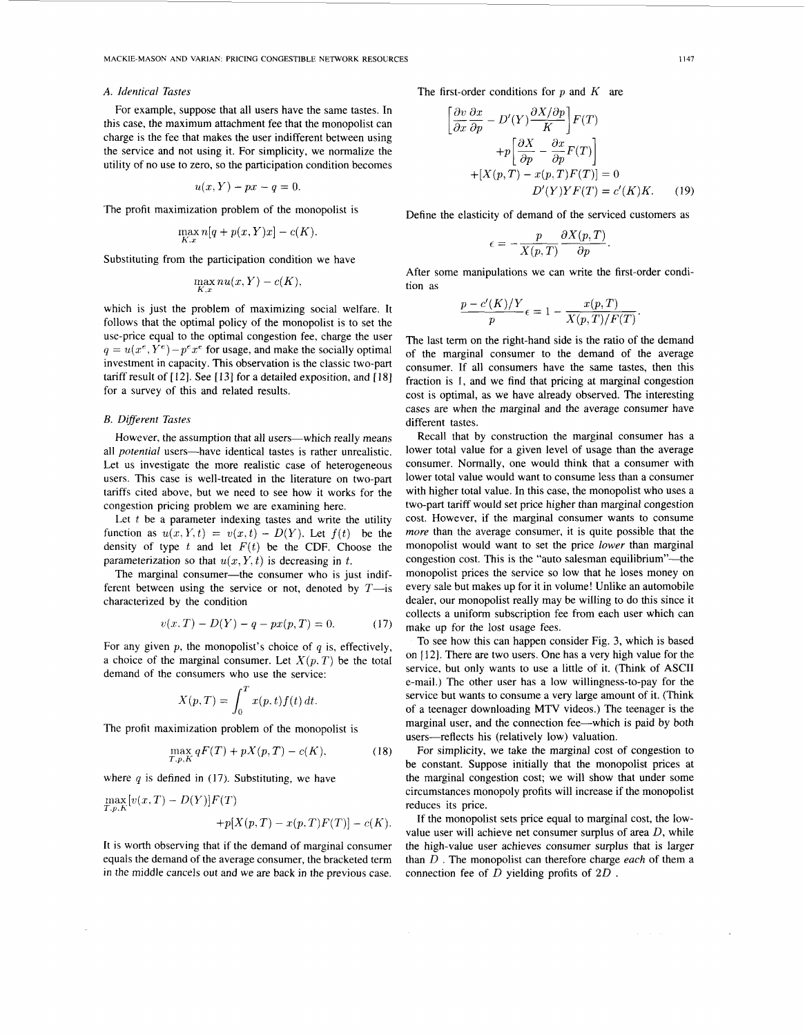MACKIE-MASON AND VARIAN: PRICING CONGESTIBLE NETWORK RESOURCES **1 I47** 

#### **A.** *Identical Tastes*

For example, suppose that all users have the same tastes. In this case, the maximum attachment fee that the monopolist can charge is the fee that makes the user indifferent between using the service and not using it. For simplicity, we normalize the utility of no use to zero, so the participation condition becomes

$$
u(x,Y) - px - q = 0.
$$

The profit maximization problem of the monopolist is

$$
\max_{K,x} n[q + p(x,Y)x] - c(K).
$$

Substituting from the participation condition we have

$$
\max_{K,x} n u(x,Y) - c(K),
$$

which is just the problem of maximizing social welfare. It follows that the optimal policy of the monopolist is to set the use-price equal to the optimal congestion fee, charge the user  $q = u(x^e, Y^e) - p^e x^e$  for usage, and make the socially optimal investment in capacity. This observation is the classic two-part tariff result of [12]. See [13] for a detailed exposition, and [18] for a survey of this and related results.

## *B. Different Tastes*

However, the assumption that all users-which really means all *potential* users-have identical tastes is rather unrealistic. Let us investigate the more realistic case of heterogeneous users. This case is well-treated in the literature on two-part tariffs cited above, but we need to see how it works for the congestion pricing problem we are examining here.

Let  $t$  be a parameter indexing tastes and write the utility function as  $u(x, Y, t) = v(x, t) - D(Y)$ . Let  $f(t)$  be the density of type  $t$  and let  $F(t)$  be the CDF. Choose the parameterization so that  $u(x, Y, t)$  is decreasing in  $t$ .

The marginal consumer-the consumer who is just indifferent between using the service or not, denoted by  $T$ —is characterized by the condition

$$
v(x,T) - D(Y) - q - px(p,T) = 0.
$$
 (17)

For any given *p,* the monopolist's choice of *q* is, effectively, a choice of the marginal consumer. Let  $X(p, T)$  be the total

$$
X(p,T) = \int_0^T x(p,t)f(t) dt.
$$

The profit maximization problem of the monopolist is

$$
\max_{T,p,K} qF(T) + pX(p,T) - c(K),
$$
 (18)

where  $q$  is defined in (17). Substituting, we have

$$
\max_{T,p,K} [v(x,T) - D(Y)]F(T) + p[X(p,T) - x(p,T)F(T)] - c(K).
$$

It is worth observing that if the demand of marginal consumer equals the demand of the average consumer, the bracketed term in the middle cancels out and we are back in the previous case. The first-order conditions for *p* and *K* are

$$
\frac{\partial v}{\partial x} \frac{\partial x}{\partial p} - D'(Y) \frac{\partial X/\partial p}{K} F(T)
$$

$$
+ p \left[ \frac{\partial X}{\partial p} - \frac{\partial x}{\partial p} F(T) \right]
$$

$$
+ [X(p, T) - x(p, T)F(T)] = 0
$$

$$
D'(Y)YF(T) = c'(K)K.
$$
(19)

Define the elasticity of demand of the serviced customers as

$$
\epsilon = -\frac{p}{X(p,T)}\frac{\partial X(p,T)}{\partial p}
$$

After some manipulations we can write the first-order condition as

$$
\frac{p - c'(K)/Y}{p} \epsilon = 1 - \frac{x(p,T)}{X(p,T)/F(T)}
$$

The last term on the right-hand side is the ratio of the demand of the marginal consumer to the demand of the average consumer. If all consumers have the same tastes, then this fraction is I, and we find that pricing at marginal congestion cost is optimal, as we have already observed. The interesting cases are when the marginal and the average consumer have different tastes.

Recall that by construction the marginal consumer has a lower total value for a given level of usage than the average consumer. Normally, one would think that a consumer with lower total value would want to consume less than a consumer with higher total value. In this case, the monopolist who uses a two-part tariff would set price higher than marginal congestion cost. However, if the marginal consumer wants to consume *more* than the average consumer, it is quite possible that the monopolist would want to set the price *lower* than marginal congestion cost. This is the "auto salesman equilibrium"-the monopolist prices the service so low that he loses money on every sale but makes up for it in volume! Unlike an automobile dealer, our monopolist really may be willing to do this since it collects a uniform subscription fee from each user which can make up for the lost usage fees.

To see how this can happen consider Fig. 3, which is based on [ 121. There are two users. One has a very high value for the service, but only wants to use a little of it. (Think of ASCII e-mail.) The other user has a low willingness-to-pay for the service but wants to consume a very large amount of it. (Think of a teenager downloading MTV videos.) The teenager is the marginal user, and the connection fee—which is paid by both users-reflects his (relatively low) valuation.

For simplicity, we take the marginal cost of congestion to be constant. Suppose initially that the monopolist prices at the marginal congestion cost; we will show that under some circumstances monopoly profits will increase if the monopolist reduces its price.

If the monopolist sets price equal to marginal cost, the lowvalue user will achieve net consumer surplus of area *D,* while the high-value user achieves consumer surplus that is larger than D . The monopolist can therefore charge *each* of them a connection fee of D yielding profits of *20* .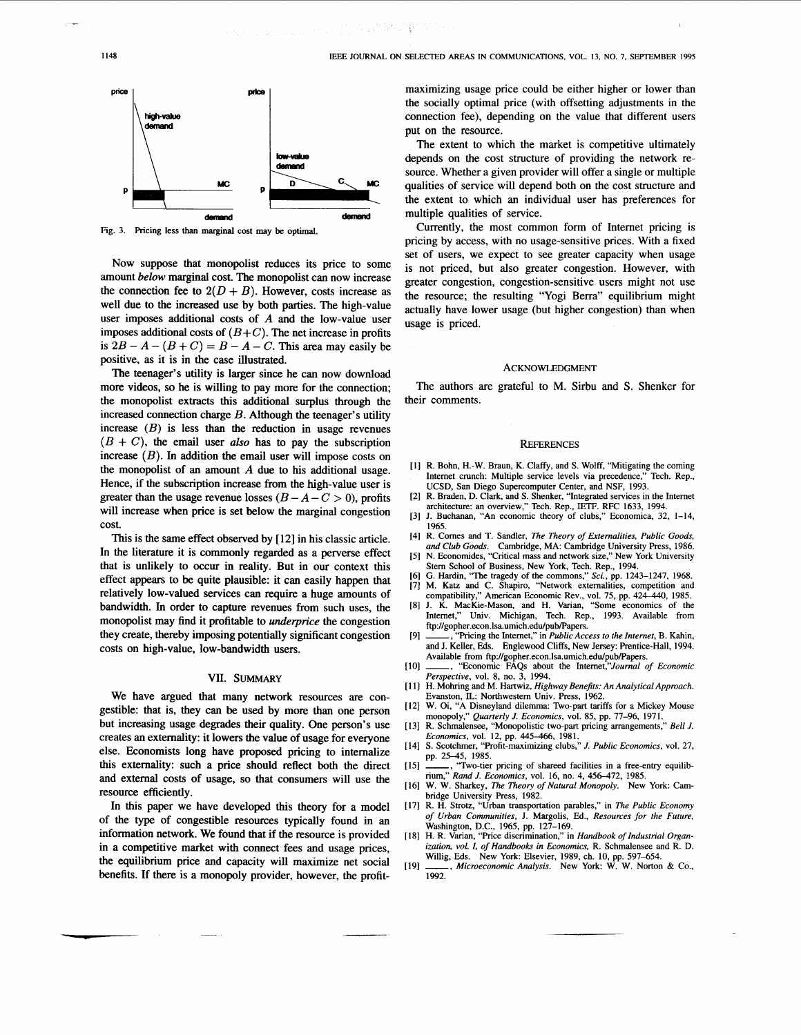

Fig. **3.** Pricing less **than** marginal cost may be optimal.

Now suppose that monopolist reduces its price to some amount below marginal cost. The monopolist can now increase the connection fee to  $2(D + B)$ . However, costs increase as well due to the increased use by both parties. The high-value user imposes additional costs of  $A$  and the low-value user imposes additional costs of  $(B+C)$ . The net increase in profits is  $2B - A - (B+C) = B - A - C$ . This area may easily be positive, **as** it is in the case illustrated.

The teenager's utility is larger since he can now download more videos, so he is willing to pay more for the connection; the monopolist extracts this additional surplus through the increased connection charge *B.* Although the teenager's utility increase  $(B)$  is less than the reduction in usage revenues  $(B + C)$ , the email user *also* has to pay the subscription increase  $(B)$ . In addition the email user will impose costs on the monopolist of an amount  $A$  due to his additional usage. Hence, if the subscription increase from the high-value user is greater than the usage revenue losses  $(B - A - C > 0)$ , profits will increase when price is set below the marginal congestion cost.

This is the same effect observed by [ **121** in his classic article. In the literature it is commonly regarded **as** a perverse effect that is unlikely to occur in reality. But in our context this effect appears to be quite plausible: it can easily happen that relatively low-valued services can require a huge amounts of bandwidth. In order to capture revenues **from** such uses, the monopolist may find it profitable to *underprice* the congestion they create, thereby imposing potentially significant congestion costs on high-value, low-bandwidth users.

## **VII. SUMMARY**

We have argued that many network resources are congestible: that is, they can be used by more than one person but increasing usage degrades their quality. One person's use creates an externality: it lowers the value of usage for everyone else. Economists long have proposed pricing to internalize this externality: such a price should reflect both the direct and external costs of usage, so that consumers will use the resource efficiently.

In this paper we have developed this theory for a model of the type of congestible resources typically found in an information network. We found that if the resource is provided in a competitive market with connect fees and usage prices, the equilibrium price and capacity will maximize net social benefits. If there is a monopoly provider, however, the profit-

maximizing usage price could be either higher or lower than the socially optimal price (with offsetting adjustments in the connection fee), depending on the value that different users put on the resource.

The extent to which the market is competitive ultimately depends on the cost structure of providing the network resource. Whether a given provider will offer a single or multiple qualities of service will depend both on the cost structure and the extent to which an individual user has preferences for multiple qualities of service.

Currently, the most common form of Internet pricing is pricing by access, with no usage-sensitive prices. With a fixed set of users, we expect to see greater capacity when usage is not priced, but also greater congestion. However, with greater congestion, congestion-sensitive users might not use the resource; the resulting "Yogi Berra" equilibrium might actually have lower usage (but higher congestion) than when usage is priced.

#### ACKNOWLEDGMENT

The authors are grateful to M. Sirbu and *S.* Shenker for their comments.

#### **REFERENCES**

- **[I]** R. Bohn, H.-W. Braun, K. Claffy, and **S.** Wolff, "Mitigating the coming Internet crunch: Multiple service levels via precedence," Tech. Rep., UCSD, San Diego Supercomputer Center, and NSF, **1993.**
- **[2]** R. Braden, D. Clark, and **S.** Shenker, "Integrated services in the Internet architecture: an overview," Tech. Rep., **IETF.** RFC **1633, 1994.**
- **[3] J.** Buchanan, "An economic theory of clubs,'' Economica, **32, 1-14, 1965.**
- **[4] R.** Comes and T. Sandler, *The Theory of Externalities, Public Goods, and Club* **Goods.** Cambridge, MA: Cambridge University Press, **1986. 151** N. Economides, "Critical mass and network size," New York University
- Stern School of Business, New York, Tech. Rep., **1994.**
- **[6]** G. Hardin, 'The tragedy of the commons," *Sci.,* pp. **1243-1247, 1968. [7]** M. Katz and C. Shapiro, "Network externalities, competition and
- compatibility," American Economic Rev., vol. **75,** pp. **424440, 1985. [8] J.** K. MacKie-Mason, and H. Varian, "Some economics **of** the Internet," Univ. Michigan, Tech. Rep., **1993.** Available from **<ftp://gopher.econ.lsa.umich.edu/pub/Papers>.**
- **[9]** ~, "Pricing the Internet," in *Public Access to the Internet,* B. Kahin, and J. Keller, Eds. Englewood Cliffs, New Jersey: Prentice-Hall, 1994. Available from **<ftp://gopher.econ.lsa.umich.edu/pub/Papers>.**
- **[lo]** -, "Economic FAQs about the Internet,"Journal *of Economic Perspective,* vol. **8,** no. **3, 1994.**
- [\[](#page-0-0) **1 I]** H. Mohring and M. Hartwiz, *Highway Benefits: An Analytical Approach.*  Evanston, IL: Northwestern Univ. Press, **1962.**
- **[I21** W. Oi, **"A** Disneyland dilemma: Two-part tariffs for a Mickey Mouse monopoly," *Quarterly* J. *Economics,* vol. **85,** pp. **77-96, 1971.**
- [ **131** R. Schmalensee, ''Monopolistic two-part pricing arrangements," *Bell J.*
- *Economics,* vol. **12,** pp. **445-466, 1981. [14] S.** Scotchmer, "Profit-maximizing clubs," J. *Public Economics,* vol. **27,**  pp. 25-45, 1985.
- [15] **The Election**, "Two-tier pricing of shareed facilities in a free-entry equilibrium," *Rand* J. *Economics,* vol. **16,** no. **4, 456472, 1985.**
- [16] W. W. Sharkey, *The Theory of Natural Monopoly*. New York: Cam-
- bridge University Press, **1982.**  [ **171** R. **H.** Strotz, "Urban transportation parables," in *The Public Economy of Urban Communities,* J. Margolis, Ed., *Resources for the Future.*  Washington, D.C., **1965,** pp. **127-169.**
- [ **181** H. R. Varian, "Price discrimination," in *Handbook of Industrial Organization, vol. I, of Handbooks in Economics,* R. Schmalensee and R. D.
- Willig, Eds. New York: Elsevier, 1989, ch. 10, pp. 597–654.<br>
[19] **\_\_\_\_\_**, *Microeconomic Analysis*. New York: W. W. Norton & Co., **1992.**